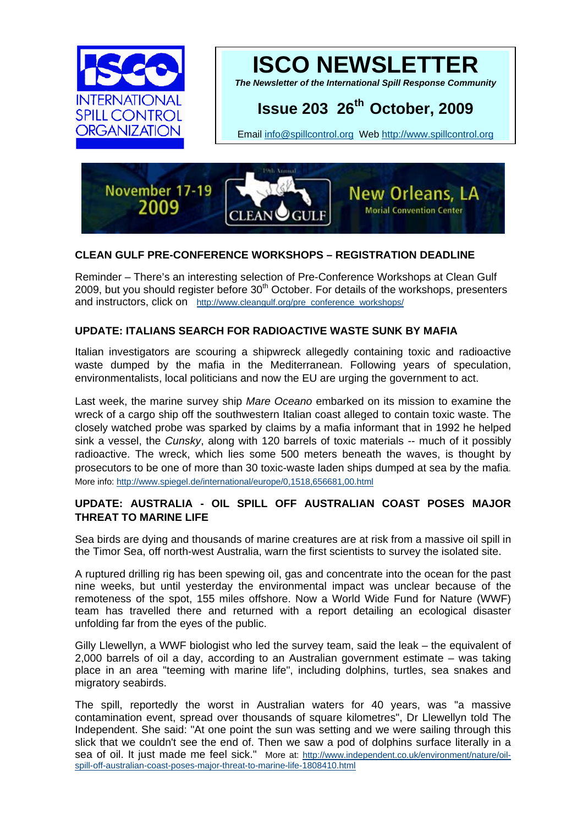



*The Newsletter of the International Spill Response Community* 

# **Issue 203 26th October, 2009**

Email [info@spillcontrol.org](mailto:info@spillcontrol.org) Web [http://www.spillcontrol.org](http://www.spillcontrol.org/) 



# **CLEAN GULF PRE-CONFERENCE WORKSHOPS – REGISTRATION DEADLINE**

Reminder – There's an interesting selection of Pre-Conference Workshops at Clean Gulf 2009, but you should register before  $30<sup>th</sup>$  October. For details of the workshops, presenters and instructors, click on [http://www.cleangulf.org/pre\\_conference\\_workshops/](http://www.cleangulf.org/pre_conference_workshops/)

# **UPDATE: ITALIANS SEARCH FOR RADIOACTIVE WASTE SUNK BY MAFIA**

Italian investigators are scouring a shipwreck allegedly containing toxic and radioactive waste dumped by the mafia in the Mediterranean. Following years of speculation, environmentalists, local politicians and now the EU are urging the government to act.

Last week, the marine survey ship *Mare Oceano* embarked on its mission to examine the wreck of a cargo ship off the southwestern Italian coast alleged to contain toxic waste. The closely watched probe was sparked by claims by a mafia informant that in 1992 he helped sink a vessel, the *Cunsky*, along with 120 barrels of toxic materials -- much of it possibly radioactive. The wreck, which lies some 500 meters beneath the waves, is thought by prosecutors to be one of more than 30 toxic-waste laden ships dumped at sea by the mafia. More info:<http://www.spiegel.de/international/europe/0,1518,656681,00.html>

# **UPDATE: AUSTRALIA - OIL SPILL OFF AUSTRALIAN COAST POSES MAJOR THREAT TO MARINE LIFE**

Sea birds are dying and thousands of marine creatures are at risk from a massive oil spill in the Timor Sea, off north-west Australia, warn the first scientists to survey the isolated site.

A ruptured drilling rig has been spewing oil, gas and concentrate into the ocean for the past nine weeks, but until yesterday the environmental impact was unclear because of the remoteness of the spot, 155 miles offshore. Now a World Wide Fund for Nature (WWF) team has travelled there and returned with a report detailing an ecological disaster unfolding far from the eyes of the public.

Gilly Llewellyn, a WWF biologist who led the survey team, said the leak – the equivalent of 2,000 barrels of oil a day, according to an Australian government estimate – was taking place in an area "teeming with marine life", including dolphins, turtles, sea snakes and migratory seabirds.

The spill, reportedly the worst in Australian waters for 40 years, was "a massive contamination event, spread over thousands of square kilometres", Dr Llewellyn told The Independent. She said: "At one point the sun was setting and we were sailing through this slick that we couldn't see the end of. Then we saw a pod of dolphins surface literally in a sea of oil. It just made me feel sick." More at: [http://www.independent.co.uk/environment/nature/oil](http://www.independent.co.uk/environment/nature/oil-spill-off-australian-coast-poses-major-threat-to-marine-life-1808410.html)[spill-off-australian-coast-poses-major-threat-to-marine-life-1808410.html](http://www.independent.co.uk/environment/nature/oil-spill-off-australian-coast-poses-major-threat-to-marine-life-1808410.html)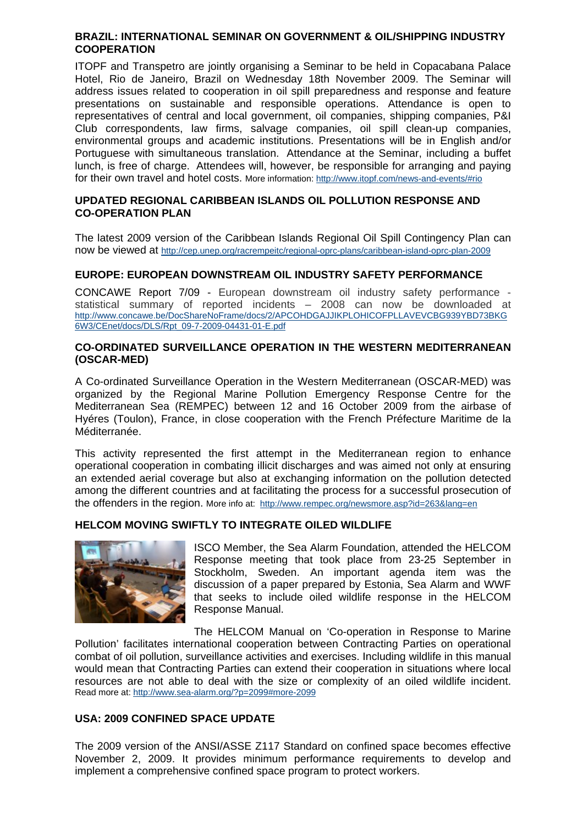#### **BRAZIL: INTERNATIONAL SEMINAR ON GOVERNMENT & OIL/SHIPPING INDUSTRY COOPERATION**

ITOPF and Transpetro are jointly organising a Seminar to be held in Copacabana Palace Hotel, Rio de Janeiro, Brazil on Wednesday 18th November 2009. The Seminar will address issues related to cooperation in oil spill preparedness and response and feature presentations on sustainable and responsible operations. Attendance is open to representatives of central and local government, oil companies, shipping companies, P&I Club correspondents, law firms, salvage companies, oil spill clean-up companies, environmental groups and academic institutions. Presentations will be in English and/or Portuguese with simultaneous translation. Attendance at the Seminar, including a buffet lunch, is free of charge. Attendees will, however, be responsible for arranging and paying for their own travel and hotel costs. More information: <http://www.itopf.com/news-and-events/#rio>

# **UPDATED REGIONAL CARIBBEAN ISLANDS OIL POLLUTION RESPONSE AND CO-OPERATION PLAN**

The latest 2009 version of the Caribbean Islands Regional Oil Spill Contingency Plan can now be viewed at <http://cep.unep.org/racrempeitc/regional-oprc-plans/caribbean-island-oprc-plan-2009>

# **EUROPE: EUROPEAN DOWNSTREAM OIL INDUSTRY SAFETY PERFORMANCE**

CONCAWE Report 7/09 - European downstream oil industry safety performance statistical summary of reported incidents – 2008 can now be downloaded at [http://www.concawe.be/DocShareNoFrame/docs/2/APCOHDGAJJIKPLOHICOFPLLAVEVCBG939YBD73BKG](http://www.concawe.be/DocShareNoFrame/docs/2/APCOHDGAJJIKPLOHICOFPLLAVEVCBG939YBD73BKG6W3/CEnet/docs/DLS/Rpt_09-7-2009-04431-01-E.pdf) [6W3/CEnet/docs/DLS/Rpt\\_09-7-2009-04431-01-E.pdf](http://www.concawe.be/DocShareNoFrame/docs/2/APCOHDGAJJIKPLOHICOFPLLAVEVCBG939YBD73BKG6W3/CEnet/docs/DLS/Rpt_09-7-2009-04431-01-E.pdf)

#### **CO-ORDINATED SURVEILLANCE OPERATION IN THE WESTERN MEDITERRANEAN (OSCAR-MED)**

A Co-ordinated Surveillance Operation in the Western Mediterranean (OSCAR-MED) was organized by the Regional Marine Pollution Emergency Response Centre for the Mediterranean Sea (REMPEC) between 12 and 16 October 2009 from the airbase of Hyéres (Toulon), France, in close cooperation with the French Préfecture Maritime de la Méditerranée.

This activity represented the first attempt in the Mediterranean region to enhance operational cooperation in combating illicit discharges and was aimed not only at ensuring an extended aerial coverage but also at exchanging information on the pollution detected among the different countries and at facilitating the process for a successful prosecution of the offenders in the region. More info at: <http://www.rempec.org/newsmore.asp?id=263&lang=en>

# **[HELCOM MOVING SWIFTLY TO INTEGRATE OILED WILDLIFE](http://www.sea-alarm.org/?p=2099)**



ISCO Member, the Sea Alarm Foundation, attended the HELCOM Response meeting that took place from 23-25 September in Stockholm, Sweden. An important agenda item was the discussion of a paper prepared by Estonia, Sea Alarm and WWF that seeks to include oiled wildlife response in the HELCOM Response Manual.

resources are not able to deal with the size or complexity of an oiled wildlife incident. Read more at: http://www.sea-alarm.org/?p=2099#more-2099 The HELCOM Manual on 'Co-operation in Response to Marine Pollution' facilitates international cooperation between Contracting Parties on operational combat of oil pollution, surveillance activities and exercises. Including wildlife in this manual would mean that Contracting Parties can extend their cooperation in situations where local

# USA: 2009 CONFINED SPACE UPDATE

November 2, 2009. It provides minimum performance requirements to develop and implement a comprehensive confined space program to protect workers. The 2009 version of the ANSI/ASSE Z117 Standard on confined space becomes effective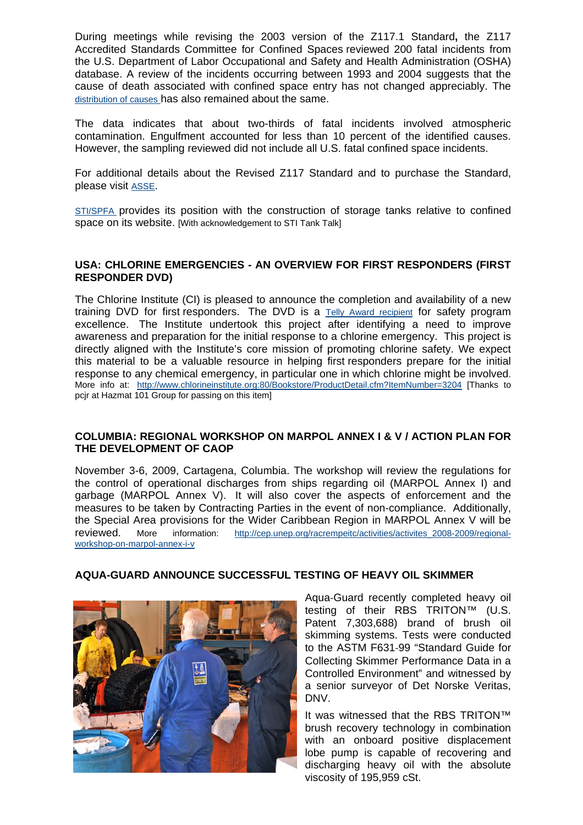During meetings while revising the 2003 version of the Z117.1 Standard**,** the Z117 Accredited Standards Committee for Confined Spaces reviewed 200 fatal incidents from the U.S. Department of Labor Occupational and Safety and Health Administration (OSHA) database. A review of the incidents occurring between 1993 and 2004 suggests that the cause of death associated with confined space entry has not changed appreciably. The [dis](http://rs6.net/tn.jsp?et=1102756560973&s=2359&e=001YffzBdjYiLpzNbRlVbB0pcPrvVAoBtNuQZbFPIAoS3B2Ff57o06uvia5LtGbFelKoPYBn2aAv_S_Gg5cikE65k5bwrSB157k8BVMxScdo3BRNsDVKNGEtj_NPVcY90pk_7SW67g2xXiGyOb1vMnqxuyTAgqORP80M8Nd1PqKTjmM7W7RrxT20w==)tribution of causes has also remained about the same.

[H](http://rs6.net/tn.jsp?et=1102756560973&s=2359&e=001YffzBdjYiLpzNbRlVbB0pcPrvVAoBtNuQZbFPIAoS3B2Ff57o06uvia5LtGbFelKoPYBn2aAv_S_Gg5cikE65k5bwrSB157k8BVMxScdo3BRNsDVKNGEtj_NPVcY90pk_7SW67g2xXiGyOb1vMnqxuyTAgqORP80M8Nd1PqKTjmM7W7RrxT20w==)owever, the sampling reviewed did not include all U.S. fatal confined space incidents. [The data indicates that about two-thirds of fatal incidents involved atmospheric](http://rs6.net/tn.jsp?et=1102756560973&s=2359&e=001YffzBdjYiLpzNbRlVbB0pcPrvVAoBtNuQZbFPIAoS3B2Ff57o06uvia5LtGbFelKoPYBn2aAv_S_Gg5cikE65k5bwrSB157k8BVMxScdo3BRNsDVKNGEtj_NPVcY90pk_7SW67g2xXiGyOb1vMnqxuyTAgqORP80M8Nd1PqKTjmM7W7RrxT20w==)  [contamination. Engulfment accounted for less than 10 percent of the identified causes.](http://rs6.net/tn.jsp?et=1102756560973&s=2359&e=001YffzBdjYiLpzNbRlVbB0pcPrvVAoBtNuQZbFPIAoS3B2Ff57o06uvia5LtGbFelKoPYBn2aAv_S_Gg5cikE65k5bwrSB157k8BVMxScdo3BRNsDVKNGEtj_NPVcY90pk_7SW67g2xXiGyOb1vMnqxuyTAgqORP80M8Nd1PqKTjmM7W7RrxT20w==) 

For additional details about the Revised Z117 Standard and to purchase the Standard, [pl](http://rs6.net/tn.jsp?et=1102756560973&s=2359&e=001YffzBdjYiLpzNbRlVbB0pcPrvVAoBtNuQZbFPIAoS3B2Ff57o06uvia5LtGbFelKoPYBn2aAv_S_Gg5cikE65k5bwrSB157k8BVMxScdo3BRNsDVKNGEtj_NPVcY90pk_7SW67g2xXiGyOb1vMnqxuyTAgqORP80M8Nd1PqKTjmM7W7RrxT20w==)ease visit ASSE.

STI/SPFA [provides its position with the construction of s](http://rs6.net/tn.jsp?et=1102756560973&s=2359&e=001YffzBdjYiLqKdd4dKIi-pmla77T8zxEYyuAEcLRtoPVoI5fR2YilVdnUbN8z3Toc749VKRjAAS9LdiGzbyeW0jm6s3Q1TffWWo0MQpIHsnwu3kXUbiGjhq_rk7iTTT1uT8tBbzSROmmtx7tB8j_e3GC6ajTNomXoScAxd6-QRML9YlpLbpJP9EJF1yG6ZYyO)torage tanks relative to confined space on its website. [With acknowledgement to STI Tank Talk]

#### **USA: CHLORINE EMERGENCIES - AN OVERVIEW FOR FIRST RESPONDERS (FIRST RESPONDER DVD)**

The Chlorine Institute (CI) is pleased to announce the completion and availability of a new training DVD for first responders. The DVD is a [Telly Award recipient](http://www.chlorineinstitute.org/News/newsdetail.cfm?itemnumber=3241) for safety program excellence. The Institute undertook this project after identifying a need to improve awareness and preparation for the initial response to a chlorine emergency. This project is directly aligned with the Institute's core mission of promoting chlorine safety. We expect this material to be a valuable resource in helping first responders prepare for the initial response to any chemical emergency, in particular one in which chlorine might be involved. More info at: [http://www.chlorineinstitute.org:80/Bo](http://www.chlorineinstitute.org/Bookstore/ProductDetail.cfm?ItemNumber=3204)okstore/ProductDetail.cfm?ItemNumber=3204 [Thanks to pcjr at Hazmat 101 Group for passing on this item]

#### **HOP ON MARPOL ANNEX I & V / ACTION PLAN FOR COLUMBIA: REGIONAL WORKS THE DEVELOPMENT OF CAOP**

information: http://cep.unep.org/racrempeitc/activities/activites 2008-2009/regional-November 3-6, 2009, Cartagena, Columbia. The workshop will review the regulations for the control of operational discharges from ships regarding oil (MARPOL Annex I) and garbage (MARPOL Annex V). It will also cover the aspects of enforcement and the measures to be taken by Contracting Parties in the event of non-compliance. Additionally, the Special Area provisions for the Wider Caribbean Region in MARPOL Annex V will be reviewed. More workshop-on-marpol-annex-i-v



# **AQUA-GUARD ANNOUNCE SUCCESSFUL TESTING OF HEAVY OIL SKIMMER**

a senior surveyor of Det Norske Veritas, Aqua‐Guard recently completed heavy oil testing of their RBS TRITON™ (U.S. Patent 7,303,688) brand of brush oil skimming systems. Tests were conducted to the ASTM F631‐99 "Standard Guide for Collecting Skimmer Performance Data in a Controlled Environment" and witnessed by DNV.

discharging heavy oil with the absolute viscosity of 195,959 cSt. It was witnessed that the RBS TRITON™ brush recovery technology in combination with an onboard positive displacement lobe pump is capable of recovering and